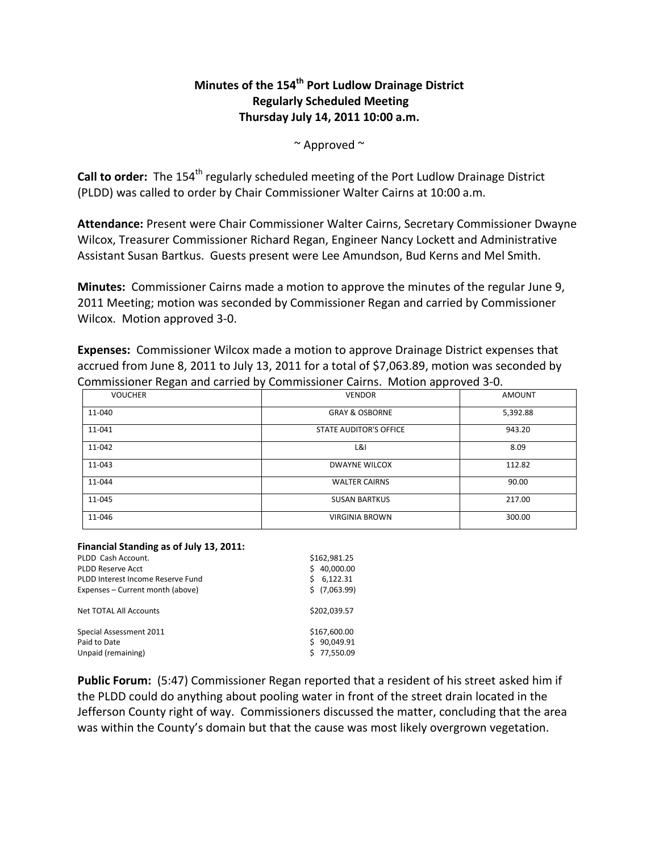## **Minutes of the 154th Port Ludlow Drainage District Regularly Scheduled Meeting Thursday July 14, 2011 10:00 a.m.**

 $\sim$  Approved  $\sim$ 

**Call to order:** The 154<sup>th</sup> regularly scheduled meeting of the Port Ludlow Drainage District (PLDD) was called to order by Chair Commissioner Walter Cairns at 10:00 a.m.

**Attendance:** Present were Chair Commissioner Walter Cairns, Secretary Commissioner Dwayne Wilcox, Treasurer Commissioner Richard Regan, Engineer Nancy Lockett and Administrative Assistant Susan Bartkus. Guests present were Lee Amundson, Bud Kerns and Mel Smith.

**Minutes:** Commissioner Cairns made a motion to approve the minutes of the regular June 9, 2011 Meeting; motion was seconded by Commissioner Regan and carried by Commissioner Wilcox. Motion approved 3-0.

**Expenses:** Commissioner Wilcox made a motion to approve Drainage District expenses that accrued from June 8, 2011 to July 13, 2011 for a total of \$7,063.89, motion was seconded by Commissioner Regan and carried by Commissioner Cairns. Motion approved 3-0.

|                | . .                           |               |
|----------------|-------------------------------|---------------|
| <b>VOUCHER</b> | <b>VENDOR</b>                 | <b>AMOUNT</b> |
| 11-040         | <b>GRAY &amp; OSBORNE</b>     | 5,392.88      |
| 11-041         | <b>STATE AUDITOR'S OFFICE</b> | 943.20        |
| 11-042         | L&I                           | 8.09          |
| 11-043         | <b>DWAYNE WILCOX</b>          | 112.82        |
| 11-044         | <b>WALTER CAIRNS</b>          | 90.00         |
| 11-045         | <b>SUSAN BARTKUS</b>          | 217.00        |
| 11-046         | <b>VIRGINIA BROWN</b>         | 300.00        |

## **Financial Standing as of July 13, 2011:**

| PLDD Cash Account.                                            | \$162,981.25                                 |
|---------------------------------------------------------------|----------------------------------------------|
| <b>PLDD Reserve Acct</b>                                      | 40,000.00                                    |
| PLDD Interest Income Reserve Fund                             | 6,122.31<br>Ś                                |
| Expenses – Current month (above)                              | \$(7,063.99)                                 |
| Net TOTAL All Accounts                                        | \$202.039.57                                 |
| Special Assessment 2011<br>Paid to Date<br>Unpaid (remaining) | \$167,600.00<br>90,049.91<br>Ś.<br>77,550.09 |

**Public Forum:** (5:47) Commissioner Regan reported that a resident of his street asked him if the PLDD could do anything about pooling water in front of the street drain located in the Jefferson County right of way. Commissioners discussed the matter, concluding that the area was within the County's domain but that the cause was most likely overgrown vegetation.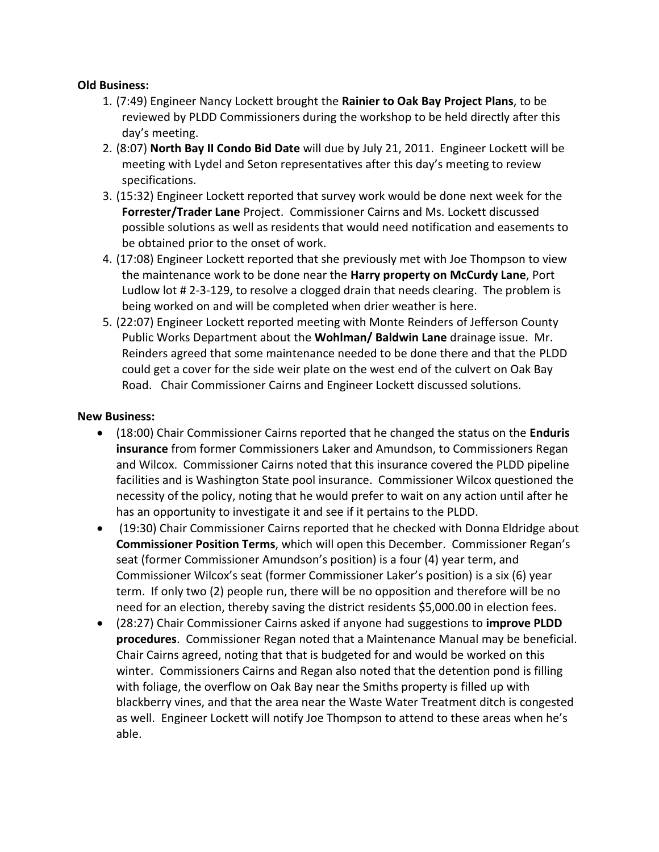## **Old Business:**

- 1. (7:49) Engineer Nancy Lockett brought the **Rainier to Oak Bay Project Plans**, to be reviewed by PLDD Commissioners during the workshop to be held directly after this day's meeting.
- 2. (8:07) **North Bay II Condo Bid Date** will due by July 21, 2011. Engineer Lockett will be meeting with Lydel and Seton representatives after this day's meeting to review specifications.
- 3. (15:32) Engineer Lockett reported that survey work would be done next week for the **Forrester/Trader Lane** Project. Commissioner Cairns and Ms. Lockett discussed possible solutions as well as residents that would need notification and easements to be obtained prior to the onset of work.
- 4. (17:08) Engineer Lockett reported that she previously met with Joe Thompson to view the maintenance work to be done near the **Harry property on McCurdy Lane**, Port Ludlow lot # 2-3-129, to resolve a clogged drain that needs clearing. The problem is being worked on and will be completed when drier weather is here.
- 5. (22:07) Engineer Lockett reported meeting with Monte Reinders of Jefferson County Public Works Department about the **Wohlman/ Baldwin Lane** drainage issue. Mr. Reinders agreed that some maintenance needed to be done there and that the PLDD could get a cover for the side weir plate on the west end of the culvert on Oak Bay Road. Chair Commissioner Cairns and Engineer Lockett discussed solutions.

## **New Business:**

- (18:00) Chair Commissioner Cairns reported that he changed the status on the **Enduris insurance** from former Commissioners Laker and Amundson, to Commissioners Regan and Wilcox. Commissioner Cairns noted that this insurance covered the PLDD pipeline facilities and is Washington State pool insurance. Commissioner Wilcox questioned the necessity of the policy, noting that he would prefer to wait on any action until after he has an opportunity to investigate it and see if it pertains to the PLDD.
- (19:30) Chair Commissioner Cairns reported that he checked with Donna Eldridge about **Commissioner Position Terms**, which will open this December. Commissioner Regan's seat (former Commissioner Amundson's position) is a four (4) year term, and Commissioner Wilcox's seat (former Commissioner Laker's position) is a six (6) year term. If only two (2) people run, there will be no opposition and therefore will be no need for an election, thereby saving the district residents \$5,000.00 in election fees.
- (28:27) Chair Commissioner Cairns asked if anyone had suggestions to **improve PLDD procedures**. Commissioner Regan noted that a Maintenance Manual may be beneficial. Chair Cairns agreed, noting that that is budgeted for and would be worked on this winter. Commissioners Cairns and Regan also noted that the detention pond is filling with foliage, the overflow on Oak Bay near the Smiths property is filled up with blackberry vines, and that the area near the Waste Water Treatment ditch is congested as well. Engineer Lockett will notify Joe Thompson to attend to these areas when he's able.